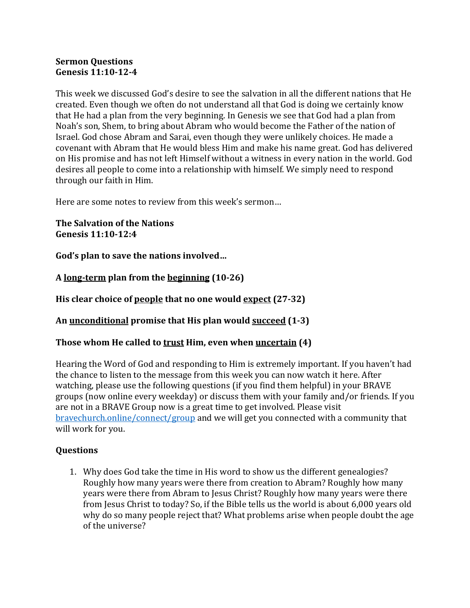## **Sermon Questions Genesis 11:10-12-4**

This week we discussed God's desire to see the salvation in all the different nations that He created. Even though we often do not understand all that God is doing we certainly know that He had a plan from the very beginning. In Genesis we see that God had a plan from Noah's son, Shem, to bring about Abram who would become the Father of the nation of Israel. God chose Abram and Sarai, even though they were unlikely choices. He made a covenant with Abram that He would bless Him and make his name great. God has delivered on His promise and has not left Himself without a witness in every nation in the world. God desires all people to come into a relationship with himself. We simply need to respond through our faith in Him.

Here are some notes to review from this week's sermon...

**The Salvation of the Nations Genesis 11:10-12:4**

God's plan to save the nations involved...

**A long-term plan from the beginning (10-26)**

**His clear choice of <u>people</u> that no one would <u>expect</u> (27-32)** 

An <u>unconditional</u> promise that His plan would succeed (1-3)

## **Those whom He called to trust Him, even when uncertain (4)**

Hearing the Word of God and responding to Him is extremely important. If you haven't had the chance to listen to the message from this week you can now watch it here. After watching, please use the following questions (if you find them helpful) in your BRAVE groups (now online every weekday) or discuss them with your family and/or friends. If you are not in a BRAVE Group now is a great time to get involved. Please visit bravechurch.online/connect/group and we will get you connected with a community that will work for you.

## **Questions**

1. Why does God take the time in His word to show us the different genealogies? Roughly how many years were there from creation to Abram? Roughly how many years were there from Abram to Jesus Christ? Roughly how many years were there from Jesus Christ to today? So, if the Bible tells us the world is about 6,000 years old why do so many people reject that? What problems arise when people doubt the age of the universe?